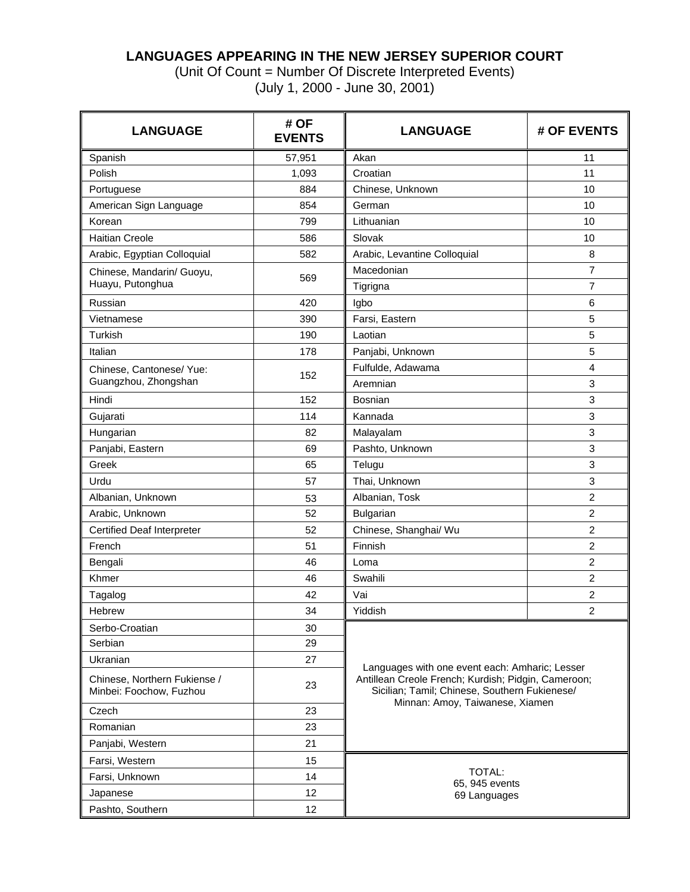# **LANGUAGES APPEARING IN THE NEW JERSEY SUPERIOR COURT**

(Unit Of Count = Number Of Discrete Interpreted Events) (July 1, 2000 - June 30, 2001)

| <b>LANGUAGE</b>                                         | # OF<br><b>EVENTS</b> | <b>LANGUAGE</b>                                                                                      | # OF EVENTS    |  |  |  |  |
|---------------------------------------------------------|-----------------------|------------------------------------------------------------------------------------------------------|----------------|--|--|--|--|
| Spanish                                                 | 57,951                | Akan                                                                                                 | 11             |  |  |  |  |
| Polish                                                  | 1,093                 | Croatian                                                                                             | 11             |  |  |  |  |
| Portuguese                                              | 884                   | Chinese, Unknown                                                                                     | 10             |  |  |  |  |
| American Sign Language                                  | 854                   | German                                                                                               | 10             |  |  |  |  |
| Korean                                                  | 799                   | Lithuanian                                                                                           | 10             |  |  |  |  |
| <b>Haitian Creole</b>                                   | 586                   | Slovak                                                                                               | 10             |  |  |  |  |
| Arabic, Egyptian Colloquial                             | 582                   | Arabic, Levantine Colloquial                                                                         | 8              |  |  |  |  |
| Chinese, Mandarin/ Guoyu,<br>Huayu, Putonghua           | 569                   | Macedonian                                                                                           | $\overline{7}$ |  |  |  |  |
|                                                         |                       | Tigrigna                                                                                             | $\overline{7}$ |  |  |  |  |
| Russian                                                 | 420                   | Igbo                                                                                                 | 6              |  |  |  |  |
| Vietnamese                                              | 390                   | Farsi, Eastern                                                                                       | 5              |  |  |  |  |
| Turkish                                                 | 190                   | Laotian                                                                                              | 5              |  |  |  |  |
| Italian                                                 | 178                   | Panjabi, Unknown                                                                                     | 5              |  |  |  |  |
| Chinese, Cantonese/ Yue:                                | 152                   | Fulfulde, Adawama                                                                                    | 4              |  |  |  |  |
| Guangzhou, Zhongshan                                    |                       | Aremnian                                                                                             | 3              |  |  |  |  |
| Hindi                                                   | 152                   | Bosnian                                                                                              | 3              |  |  |  |  |
| Gujarati                                                | 114                   | Kannada                                                                                              | 3              |  |  |  |  |
| Hungarian                                               | 82                    | Malayalam                                                                                            | 3              |  |  |  |  |
| Panjabi, Eastern                                        | 69                    | Pashto, Unknown                                                                                      | 3              |  |  |  |  |
| Greek                                                   | 65                    | Telugu                                                                                               | 3              |  |  |  |  |
| Urdu                                                    | 57                    | Thai, Unknown                                                                                        | 3              |  |  |  |  |
| Albanian, Unknown                                       | 53                    | Albanian, Tosk                                                                                       | 2              |  |  |  |  |
| Arabic, Unknown                                         | 52                    | Bulgarian                                                                                            | $\overline{2}$ |  |  |  |  |
| <b>Certified Deaf Interpreter</b>                       | 52                    | Chinese, Shanghai/ Wu                                                                                | $\overline{c}$ |  |  |  |  |
| French                                                  | 51                    | Finnish                                                                                              | $\overline{2}$ |  |  |  |  |
| Bengali                                                 | 46                    | Loma                                                                                                 | $\overline{2}$ |  |  |  |  |
| Khmer                                                   | 46                    | Swahili                                                                                              | $\overline{c}$ |  |  |  |  |
| Tagalog                                                 | 42                    | Vai                                                                                                  | $\overline{c}$ |  |  |  |  |
| Hebrew                                                  | 34                    | Yiddish                                                                                              | $\overline{2}$ |  |  |  |  |
| Serbo-Croatian                                          | 30                    |                                                                                                      |                |  |  |  |  |
| Serbian                                                 | 29                    |                                                                                                      |                |  |  |  |  |
| <b>Ukranian</b>                                         | 27                    | Languages with one event each: Amharic; Lesser                                                       |                |  |  |  |  |
| Chinese, Northern Fukiense /<br>Minbei: Foochow, Fuzhou | 23                    | Antillean Creole French; Kurdish; Pidgin, Cameroon;<br>Sicilian; Tamil; Chinese, Southern Fukienese/ |                |  |  |  |  |
| Czech                                                   | 23                    | Minnan: Amoy, Taiwanese, Xiamen                                                                      |                |  |  |  |  |
| Romanian                                                | 23                    |                                                                                                      |                |  |  |  |  |
| Panjabi, Western                                        | 21                    |                                                                                                      |                |  |  |  |  |
| Farsi, Western                                          | 15                    |                                                                                                      |                |  |  |  |  |
| Farsi, Unknown                                          | 14                    | <b>TOTAL:</b>                                                                                        |                |  |  |  |  |
| Japanese                                                | 12                    | 65, 945 events<br>69 Languages                                                                       |                |  |  |  |  |
| Pashto, Southern                                        | 12                    |                                                                                                      |                |  |  |  |  |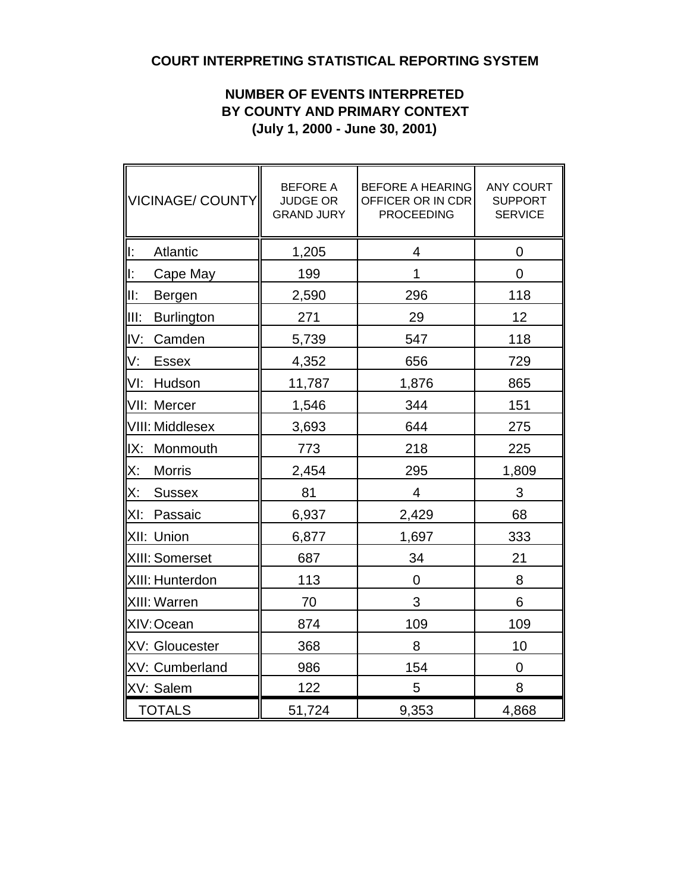# **COURT INTERPRETING STATISTICAL REPORTING SYSTEM**

# **NUMBER OF EVENTS INTERPRETED BY COUNTY AND PRIMARY CONTEXT (July 1, 2000 - June 30, 2001)**

| VICINAGE/ COUNTY           | <b>BEFORE A</b><br><b>JUDGE OR</b><br><b>GRAND JURY</b> | <b>BEFORE A HEARING</b><br>OFFICER OR IN CDR<br><b>PROCEEDING</b> | <b>ANY COURT</b><br><b>SUPPORT</b><br><b>SERVICE</b> |
|----------------------------|---------------------------------------------------------|-------------------------------------------------------------------|------------------------------------------------------|
| lı:<br>Atlantic            | 1,205                                                   | 4                                                                 | 0                                                    |
| lı:<br>Cape May            | 199                                                     | 1                                                                 | $\overline{0}$                                       |
| III:<br>Bergen             | 2,590                                                   | 296                                                               | 118                                                  |
| liit:<br><b>Burlington</b> | 271                                                     | 29                                                                | 12                                                   |
| IV:<br>Camden              | 5,739                                                   | 547                                                               | 118                                                  |
| V.<br><b>Essex</b>         | 4,352                                                   | 656                                                               | 729                                                  |
| VI:<br>Hudson              | 11,787                                                  | 1,876                                                             | 865                                                  |
| VII: Mercer                | 1,546                                                   | 344                                                               | 151                                                  |
| VIII: Middlesex            | 3,693                                                   | 644                                                               | 275                                                  |
| IX:<br>Monmouth            | 773                                                     | 218                                                               | 225                                                  |
| X:<br><b>Morris</b>        | 2,454                                                   | 295                                                               | 1,809                                                |
| X:<br><b>Sussex</b>        | 81                                                      | 4                                                                 | 3                                                    |
| Passaic<br>XI:             | 6,937                                                   | 2,429                                                             | 68                                                   |
| XII: Union                 | 6,877                                                   | 1,697                                                             | 333                                                  |
| XIII: Somerset             | 687                                                     | 34                                                                | 21                                                   |
| XIII: Hunterdon            | 113                                                     | 0                                                                 | 8                                                    |
| XIII: Warren               | 70                                                      | 3                                                                 | 6                                                    |
| XIV: Ocean                 | 874                                                     | 109                                                               | 109                                                  |
| XV: Gloucester             | 368                                                     | 8                                                                 | 10                                                   |
| XV: Cumberland             | 986                                                     | 154                                                               | $\overline{0}$                                       |
| XV: Salem                  | 122                                                     | 5                                                                 | 8                                                    |
| <b>TOTALS</b>              | 51,724                                                  | 9,353                                                             | 4,868                                                |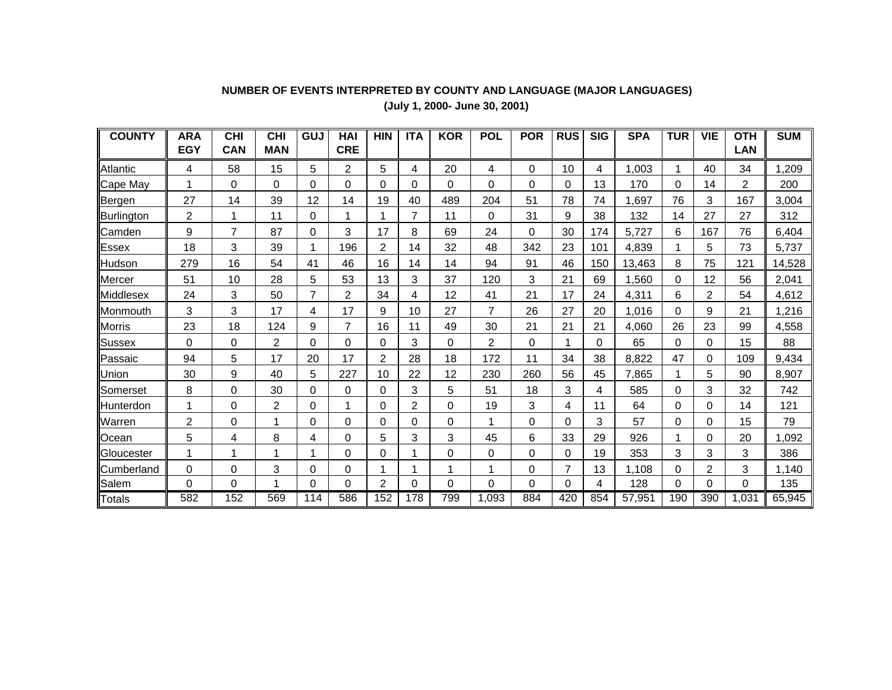### **NUMBER OF EVENTS INTERPRETED BY COUNTY AND LANGUAGE (MAJOR LANGUAGES)**

**(July 1, 2000- June 30, 2001)**

| <b>COUNTY</b> | <b>ARA</b>     | <b>CHI</b> | <b>CHI</b> | GUJ            | <b>HAI</b>     | <b>HIN</b> | <b>ITA</b> | <b>KOR</b> | <b>POL</b> | <b>POR</b> | <b>RUS</b> | <b>SIG</b> | <b>SPA</b> | <b>TUR</b> | <b>VIE</b> | <b>OTH</b> | <b>SUM</b> |
|---------------|----------------|------------|------------|----------------|----------------|------------|------------|------------|------------|------------|------------|------------|------------|------------|------------|------------|------------|
|               | <b>EGY</b>     | <b>CAN</b> | <b>MAN</b> |                | <b>CRE</b>     |            |            |            |            |            |            |            |            |            |            | <b>LAN</b> |            |
| Atlantic      | 4              | 58         | 15         | 5              | 2              | 5          | 4          | 20         | 4          | $\Omega$   | 10         | 4          | 1,003      | 1          | 40         | 34         | 1,209      |
| Cape May      | 1              | 0          | 0          | 0              | 0              | 0          | 0          | $\Omega$   | 0          | 0          | 0          | 13         | 170        | 0          | 14         | 2          | 200        |
| Bergen        | 27             | 14         | 39         | 12             | 14             | 19         | 40         | 489        | 204        | 51         | 78         | 74         | ,697       | 76         | 3          | 167        | 3,004      |
| Burlington    | $\overline{2}$ |            | 11         | 0              | 1              |            | 7          | 11         | 0          | 31         | 9          | 38         | 132        | 14         | 27         | 27         | 312        |
| Camden        | 9              | 7          | 87         | 0              | 3              | 17         | 8          | 69         | 24         | 0          | 30         | 174        | 5,727      | 6          | 167        | 76         | 6,404      |
| <b>Essex</b>  | 18             | 3          | 39         |                | 196            | 2          | 14         | 32         | 48         | 342        | 23         | 101        | 4,839      | -1         | 5          | 73         | 5,737      |
| Hudson        | 279            | 16         | 54         | 41             | 46             | 16         | 14         | 14         | 94         | 91         | 46         | 150        | 13,463     | 8          | 75         | 121        | 14,528     |
| <b>Mercer</b> | 51             | 10         | 28         | 5              | 53             | 13         | 3          | 37         | 120        | 3          | 21         | 69         | ,560       | $\Omega$   | 12         | 56         | 2,041      |
| Middlesex     | 24             | 3          | 50         | $\overline{7}$ | $\overline{2}$ | 34         | 4          | 12         | 41         | 21         | 17         | 24         | 4,311      | 6          | 2          | 54         | 4,612      |
| Monmouth      | 3              | 3          | 17         | 4              | 17             | 9          | 10         | 27         | 7          | 26         | 27         | 20         | 1,016      | $\Omega$   | 9          | 21         | 1,216      |
| Morris        | 23             | 18         | 124        | 9              | 7              | 16         | 11         | 49         | 30         | 21         | 21         | 21         | 4,060      | 26         | 23         | 99         | 4,558      |
| <b>Sussex</b> | 0              | 0          | 2          | 0              | 0              | 0          | 3          | $\Omega$   | 2          | 0          |            | 0          | 65         | 0          | 0          | 15         | 88         |
| Passaic       | 94             | 5          | 17         | 20             | 17             | 2          | 28         | 18         | 172        | 11         | 34         | 38         | 8,822      | 47         | 0          | 109        | 9,434      |
| Union         | 30             | 9          | 40         | 5              | 227            | 10         | 22         | 12         | 230        | 260        | 56         | 45         | 7,865      | 1          | 5          | 90         | 8,907      |
| Somerset      | 8              | 0          | 30         | 0              | 0              | $\Omega$   | 3          | 5          | 51         | 18         | 3          | 4          | 585        | $\Omega$   | 3          | 32         | 742        |
| Hunterdon     | 1              | 0          | 2          | 0              | 1              | $\Omega$   | 2          | 0          | 19         | 3          | 4          | 11         | 64         | 0          | 0          | 14         | 121        |
| Warren        | $\overline{2}$ | 0          | 1          | 0              | 0              | $\Omega$   | 0          | 0          | 1          | 0          | 0          | 3          | 57         | $\Omega$   | 0          | 15         | 79         |
| Ocean         | 5              | 4          | 8          | 4              | 0              | 5          | 3          | 3          | 45         | 6          | 33         | 29         | 926        |            | 0          | 20         | 1,092      |
| Gloucester    | 1              |            |            |                | 0              | $\Omega$   |            | 0          | 0          | 0          | 0          | 19         | 353        | 3          | 3          | 3          | 386        |
| Cumberland    | 0              | 0          | 3          | 0              | 0              |            |            |            |            | 0          | 7          | 13         | 1,108      | 0          | 2          | 3          | 1,140      |
| Salem         | $\mathbf 0$    | 0          | 1          | 0              | 0              | 2          | 0          | 0          | 0          | 0          | 0          | 4          | 128        | 0          | 0          | 0          | 135        |
| Totals        | 582            | 152        | 569        | 114            | 586            | 152        | 178        | 799        | 1,093      | 884        | 420        | 854        | 57,951     | 190        | 390        | ,031       | 65,945     |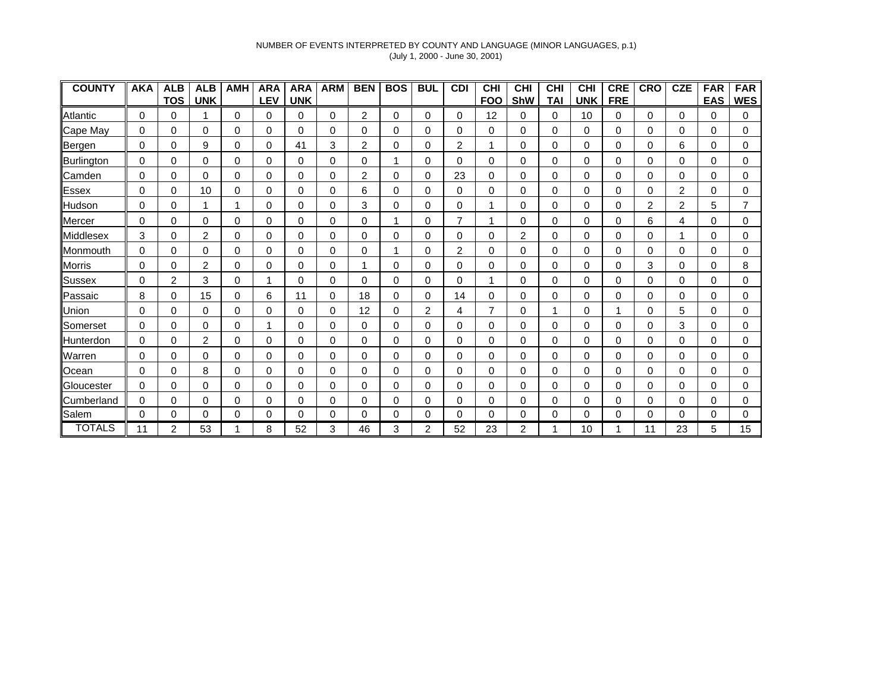### NUMBER OF EVENTS INTERPRETED BY COUNTY AND LANGUAGE (MINOR LANGUAGES, p.1) (July 1, 2000 - June 30, 2001)

| <b>COUNTY</b>      | <b>AKA</b> | <b>ALB</b>     | <b>ALB</b> | <b>AMH</b> | <b>ARA</b>  | <b>ARA</b> | <b>ARM</b> | <b>BEN</b>     | <b>BOS</b> | <b>BUL</b> | <b>CDI</b> | <b>CHI</b>     | <b>CHI</b>     | <b>CHI</b> | <b>CHI</b> | <b>CRE</b> | <b>CRO</b> | <b>CZE</b>     | <b>FAR</b> | <b>FAR</b> |
|--------------------|------------|----------------|------------|------------|-------------|------------|------------|----------------|------------|------------|------------|----------------|----------------|------------|------------|------------|------------|----------------|------------|------------|
|                    |            | <b>TOS</b>     | <b>UNK</b> |            | <b>LEV</b>  | <b>UNK</b> |            |                |            |            |            | <b>FOO</b>     | <b>ShW</b>     | TAI        | <b>UNK</b> | <b>FRE</b> |            |                | <b>EAS</b> | <b>WES</b> |
| Atlantic           | 0          | 0              |            | 0          | 0           | 0          | 0          | 2              | 0          | 0          | 0          | 12             | 0              | 0          | 10         | 0          | 0          | 0              | 0          | 0          |
| Cape May           | 0          | 0              | 0          | 0          | 0           | 0          | 0          | 0              | 0          | 0          | 0          | 0              | 0              | 0          | 0          | 0          | 0          | 0              | 0          | 0          |
| Bergen             | 0          | 0              | 9          | 0          | 0           | 41         | 3          | 2              | 0          | 0          | 2          | 1              | 0              | 0          | 0          | 0          | 0          | 6              | 0          | 0          |
| Burlington         | 0          | 0              | 0          | 0          | 0           | 0          | 0          | 0              |            | 0          | 0          | 0              | $\Omega$       | 0          | 0          | $\Omega$   | 0          | 0              | 0          | 0          |
| Camden             | 0          | $\Omega$       | $\Omega$   | 0          | $\Omega$    | $\Omega$   | 0          | $\overline{2}$ | 0          | 0          | 23         | 0              | $\Omega$       | 0          | $\Omega$   | $\Omega$   | 0          | $\Omega$       | 0          | 0          |
| Essex              | 0          | 0              | 10         | 0          | 0           | 0          | 0          | 6              | 0          | 0          | 0          | 0              | 0              | 0          | 0          | 0          | 0          | $\overline{c}$ | 0          | 0          |
| Hudson             | 0          | 0              |            |            | 0           | 0          | 0          | 3              | 0          | 0          | 0          | 1              | 0              | 0          | 0          | 0          | 2          | 2              | 5          |            |
| Mercer             | 0          | 0              | 0          | 0          | 0           | 0          | 0          | 0              |            | 0          | 7          | 1              | 0              | 0          | 0          | 0          | 6          | 4              | 0          | 0          |
| <b>IMiddlesex</b>  | 3          | 0              | 2          | 0          | 0           | 0          | 0          | 0              | 0          | 0          | 0          | 0              | 2              | 0          | 0          | 0          | 0          |                | 0          | 0          |
| <b>IMonmouth</b>   | 0          | 0              | 0          | 0          | 0           | 0          | 0          | 0              |            | 0          | 2          | 0              | 0              | 0          | 0          | $\Omega$   | 0          | 0              | 0          | 0          |
| Morris             | $\Omega$   | 0              | 2          | 0          | 0           | 0          | 0          |                | 0          | 0          | 0          | 0              | 0              | 0          | $\Omega$   | 0          | 3          | $\Omega$       | 0          | 8          |
| <b>Sussex</b>      | 0          | $\overline{2}$ | 3          | 0          |             | 0          | 0          | $\Omega$       | 0          | 0          | 0          | 1              | $\Omega$       | 0          | $\Omega$   | 0          | 0          | $\Omega$       | 0          | 0          |
| Passaic            | 8          | 0              | 15         | 0          | 6           | 11         | 0          | 18             | 0          | 0          | 14         | 0              | 0              | 0          | 0          | 0          | 0          | 0              | 0          | 0          |
| <b>Union</b>       | 0          | 0              | 0          | 0          | 0           | 0          | 0          | 12             | 0          | 2          | 4          | $\overline{7}$ | 0              |            | 0          |            | 0          | 5              | 0          | 0          |
| Somerset           | 0          | 0              | 0          | 0          | 1           | 0          | 0          | 0              | 0          | 0          | 0          | 0              | 0              | 0          | 0          | 0          | 0          | 3              | 0          | 0          |
| <b>I</b> Hunterdon | 0          | 0              | 2          | 0          | 0           | 0          | 0          | 0              | 0          | $\Omega$   | 0          | 0              | 0              | 0          | 0          | 0          | 0          | 0              | 0          | 0          |
| Warren             | 0          | 0              | 0          | 0          | 0           | 0          | 0          | 0              | 0          | 0          | 0          | 0              | 0              | 0          | 0          | 0          | 0          | 0              | 0          | 0          |
| Ocean              | $\Omega$   | 0              | 8          | 0          | 0           | 0          | 0          | 0              | 0          | 0          | 0          | 0              | 0              | 0          | $\Omega$   | 0          | 0          | 0              | 0          | 0          |
| Gloucester         | 0          | 0              | $\Omega$   | 0          | $\Omega$    | $\Omega$   | $\Omega$   | $\Omega$       | 0          | 0          | 0          | 0              | $\Omega$       | 0          | $\Omega$   | $\Omega$   | 0          | $\Omega$       | $\Omega$   | 0          |
| Cumberland         | 0          | 0              | 0          | 0          | $\mathbf 0$ | 0          | 0          | 0              | 0          | 0          | 0          | 0              | 0              | 0          | 0          | 0          | 0          | 0              | 0          | 0          |
| Salem              | 0          | 0              | $\Omega$   | 0          | 0           | 0          | 0          | 0              | 0          | 0          | 0          | 0              | $\Omega$       | 0          | 0          | 0          | 0          | 0              | 0          | 0          |
| <b>TOTALS</b>      | 11         | $\overline{2}$ | 53         |            | 8           | 52         | 3          | 46             | 3          | 2          | 52         | 23             | $\overline{2}$ |            | 10         |            | 11         | 23             | 5          | 15         |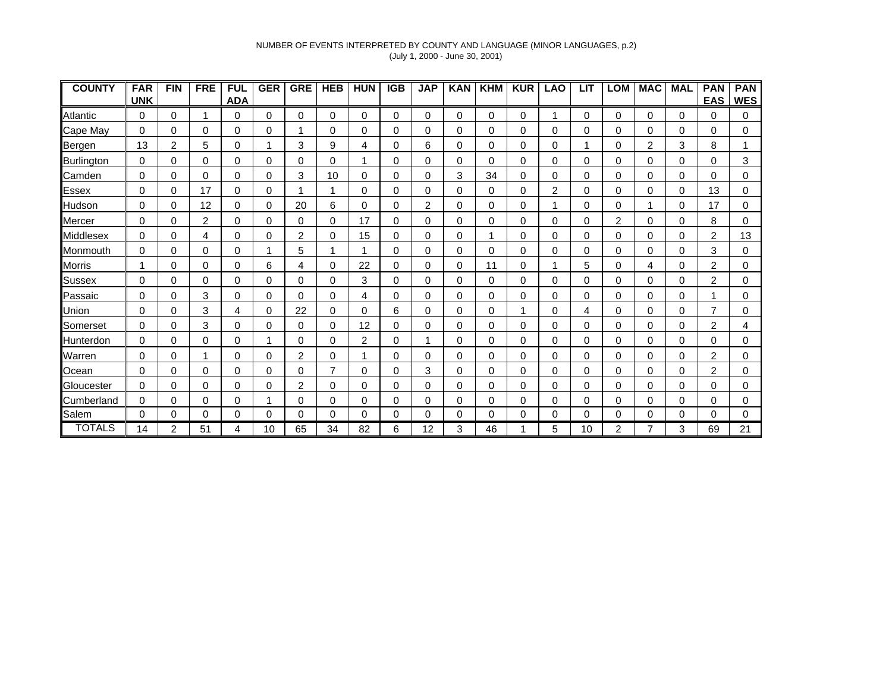### NUMBER OF EVENTS INTERPRETED BY COUNTY AND LANGUAGE (MINOR LANGUAGES, p.2) (July 1, 2000 - June 30, 2001)

| <b>COUNTY</b> | <b>FAR</b> | <b>FIN</b> | <b>FRE</b> | <b>FUL</b> | <b>GER</b> | <b>GRE</b> | <b>HEB</b>     | <b>HUN</b> | <b>IGB</b> | <b>JAP</b> | <b>KAN</b> | <b>KHM</b> | <b>KUR</b> | <b>LAO</b>     | <b>LIT</b>  | <b>LOM</b> | <b>MAC</b> | <b>MAL</b> | <b>PAN</b>     | <b>PAN</b> |
|---------------|------------|------------|------------|------------|------------|------------|----------------|------------|------------|------------|------------|------------|------------|----------------|-------------|------------|------------|------------|----------------|------------|
|               | <b>UNK</b> |            |            | <b>ADA</b> |            |            |                |            |            |            |            |            |            |                |             |            |            |            | <b>EAS</b>     | <b>WES</b> |
| Atlantic      | 0          | 0          | 1          | 0          | 0          | $\Omega$   | 0              | 0          | 0          | 0          | 0          | 0          | 0          |                | 0           | 0          | 0          | 0          | 0              | 0          |
| Cape May      | 0          | 0          | 0          | 0          | 0          |            | 0              | 0          | 0          | 0          | 0          | 0          | 0          | 0              | 0           | 0          | 0          | 0          | 0              | 0          |
| Bergen        | 13         | 2          | 5          | 0          | 1          | 3          | 9              | 4          | 0          | 6          | 0          | 0          | 0          | 0              | 1           | 0          | 2          | 3          | 8              |            |
| Burlington    | 0          | 0          | 0          | 0          | $\Omega$   | $\Omega$   | 0              | 1          | 0          | 0          | $\Omega$   | 0          | 0          | 0              | 0           | 0          | 0          | $\Omega$   | 0              | 3          |
| Camden        | 0          | 0          | $\Omega$   | 0          | 0          | 3          | 10             | 0          | 0          | 0          | 3          | 34         | $\Omega$   | 0              | 0           | 0          | 0          | 0          | 0              | 0          |
| <b>Essex</b>  | 0          | 0          | 17         | 0          | 0          |            | 1              | 0          | 0          | 0          | 0          | 0          | 0          | $\overline{2}$ | 0           | 0          | 0          | 0          | 13             | 0          |
| Hudson        | 0          | 0          | 12         | 0          | 0          | 20         | 6              | 0          | 0          | 2          | 0          | 0          | 0          |                | 0           | 0          |            | 0          | 17             | 0          |
| Mercer        | 0          | 0          | 2          | 0          | 0          | 0          | 0              | 17         | 0          | 0          | 0          | 0          | 0          | 0              | 0           | 2          | 0          | 0          | 8              | 0          |
| Middlesex     | 0          | 0          | 4          | 0          | 0          | 2          | 0              | 15         | 0          | 0          | 0          | и          | 0          | 0              | 0           | 0          | 0          | 0          | 2              | 13         |
| Monmouth      | 0          | $\Omega$   | 0          | 0          |            | 5          |                | 1          | 0          | 0          | 0          | 0          | 0          | 0              | $\Omega$    | 0          | 0          | 0          | 3              | 0          |
| <b>Morris</b> |            | 0          | 0          | 0          | 6          | 4          | 0              | 22         | 0          | 0          | 0          | 11         | 0          |                | 5           | 0          | 4          | $\Omega$   | $\overline{c}$ | 0          |
| Sussex        | 0          | 0          | $\Omega$   | 0          | 0          | 0          | 0              | 3          | 0          | 0          | 0          | 0          | $\Omega$   | 0              | $\mathbf 0$ | 0          | 0          | 0          | 2              | 0          |
| Passaic       | 0          | 0          | 3          | 0          | 0          | 0          | 0              | 4          | 0          | 0          | 0          | 0          | 0          | 0              | 0           | 0          | 0          | 0          |                | 0          |
| <b>Union</b>  | 0          | 0          | 3          | 4          | 0          | 22         | 0              | $\Omega$   | 6          | 0          | $\Omega$   | 0          |            | 0              | 4           | 0          | 0          | 0          |                | 0          |
| Somerset      | 0          | 0          | 3          | 0          | $\Omega$   | 0          | 0              | 12         | 0          | 0          | 0          | 0          | 0          | 0              | 0           | 0          | 0          | 0          | 2              | 4          |
| Hunterdon     | 0          | 0          | 0          | 0          | ٠          | 0          | 0              | 2          | 0          | 1          | 0          | 0          | 0          | 0              | 0           | 0          | 0          | 0          | 0              | 0          |
| Warren        | 0          | 0          |            | 0          | 0          | 2          | 0              |            | 0          | 0          | 0          | 0          | 0          | 0              | 0           | 0          | 0          | 0          | 2              | 0          |
| Ocean         | 0          | 0          | $\Omega$   | 0          | 0          | $\Omega$   | $\overline{7}$ | $\Omega$   | 0          | 3          | $\Omega$   | 0          | 0          | 0              | 0           | 0          | 0          | $\Omega$   | 2              | 0          |
| Gloucester    | 0          | 0          | $\Omega$   | 0          | 0          | 2          | 0              | 0          | 0          | 0          | 0          | 0          | 0          | 0              | 0           | 0          | 0          | 0          | 0              | 0          |
| Cumberland    | 0          | 0          | 0          | 0          | 1          | 0          | 0              | 0          | 0          | 0          | 0          | 0          | 0          | 0              | 0           | 0          | 0          | 0          | 0              | 0          |
| Salem         | 0          | 0          | $\Omega$   | 0          | $\Omega$   | $\Omega$   | 0              | 0          | 0          | 0          | 0          | 0          | $\Omega$   | 0              | 0           | 0          | 0          | $\Omega$   | 0              | 0          |
| <b>TOTALS</b> | 14         | 2          | 51         | 4          | 10         | 65         | 34             | 82         | 6          | 12         | 3          | 46         |            | 5              | 10          | 2          | 7          | 3          | 69             | 21         |